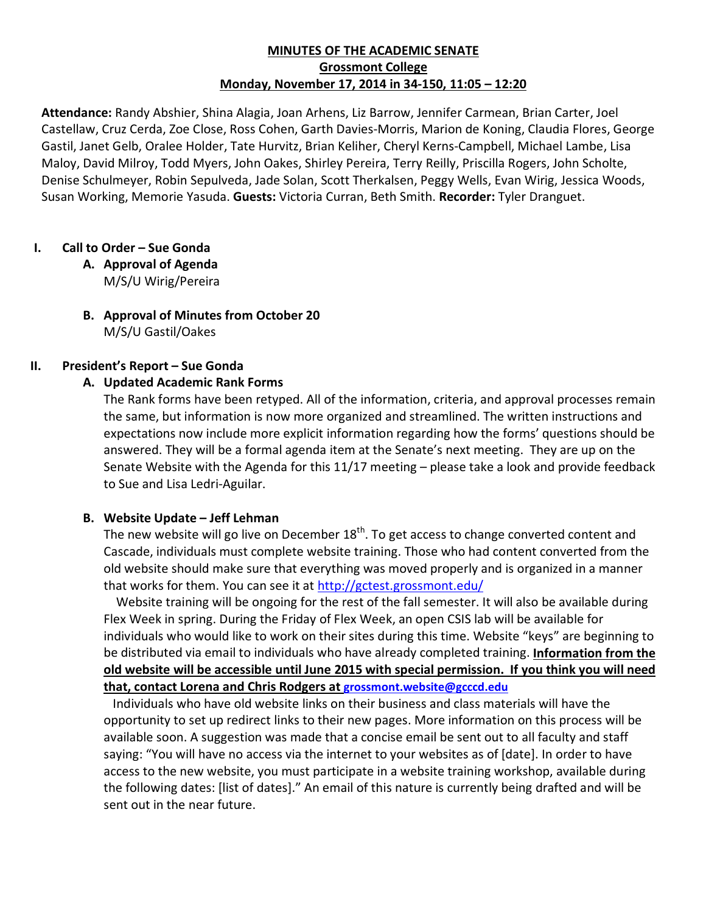# **MINUTES OF THE ACADEMIC SENATE Grossmont College Monday, November 17, 2014 in 34-150, 11:05 – 12:20**

**Attendance:** Randy Abshier, Shina Alagia, Joan Arhens, Liz Barrow, Jennifer Carmean, Brian Carter, Joel Castellaw, Cruz Cerda, Zoe Close, Ross Cohen, Garth Davies-Morris, Marion de Koning, Claudia Flores, George Gastil, Janet Gelb, Oralee Holder, Tate Hurvitz, Brian Keliher, Cheryl Kerns-Campbell, Michael Lambe, Lisa Maloy, David Milroy, Todd Myers, John Oakes, Shirley Pereira, Terry Reilly, Priscilla Rogers, John Scholte, Denise Schulmeyer, Robin Sepulveda, Jade Solan, Scott Therkalsen, Peggy Wells, Evan Wirig, Jessica Woods, Susan Working, Memorie Yasuda. **Guests:** Victoria Curran, Beth Smith. **Recorder:** Tyler Dranguet.

## **I. Call to Order – Sue Gonda**

- **A. Approval of Agenda** M/S/U Wirig/Pereira
- **B. Approval of Minutes from October 20** M/S/U Gastil/Oakes

#### **II. President's Report – Sue Gonda**

## **A. Updated Academic Rank Forms**

The Rank forms have been retyped. All of the information, criteria, and approval processes remain the same, but information is now more organized and streamlined. The written instructions and expectations now include more explicit information regarding how the forms' questions should be answered. They will be a formal agenda item at the Senate's next meeting. They are up on the Senate Website with the Agenda for this 11/17 meeting – please take a look and provide feedback to Sue and Lisa Ledri-Aguilar.

#### **B. Website Update – Jeff Lehman**

The new website will go live on December  $18<sup>th</sup>$ . To get access to change converted content and Cascade, individuals must complete website training. Those who had content converted from the old website should make sure that everything was moved properly and is organized in a manner that works for them. You can see it at<http://gctest.grossmont.edu/>

 Website training will be ongoing for the rest of the fall semester. It will also be available during Flex Week in spring. During the Friday of Flex Week, an open CSIS lab will be available for individuals who would like to work on their sites during this time. Website "keys" are beginning to be distributed via email to individuals who have already completed training. **Information from the old website will be accessible until June 2015 with special permission. If you think you will need that, contact Lorena and Chris Rodgers at [grossmont.website@gcccd.edu](mailto:grossmont.website@gcccd.edu)**

 Individuals who have old website links on their business and class materials will have the opportunity to set up redirect links to their new pages. More information on this process will be available soon. A suggestion was made that a concise email be sent out to all faculty and staff saying: "You will have no access via the internet to your websites as of [date]. In order to have access to the new website, you must participate in a website training workshop, available during the following dates: [list of dates]." An email of this nature is currently being drafted and will be sent out in the near future.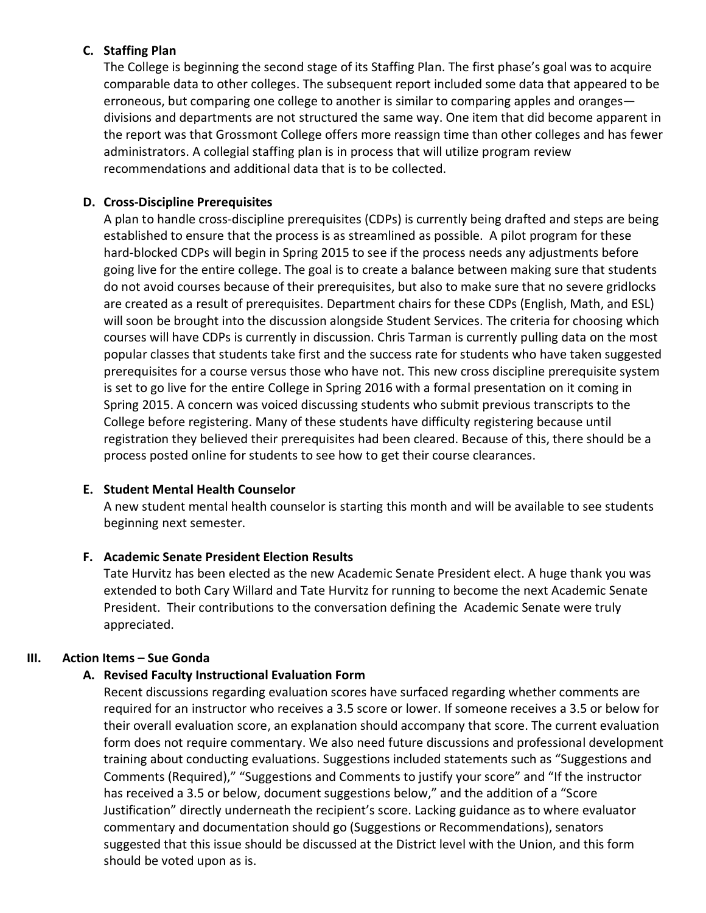# **C. Staffing Plan**

The College is beginning the second stage of its Staffing Plan. The first phase's goal was to acquire comparable data to other colleges. The subsequent report included some data that appeared to be erroneous, but comparing one college to another is similar to comparing apples and oranges divisions and departments are not structured the same way. One item that did become apparent in the report was that Grossmont College offers more reassign time than other colleges and has fewer administrators. A collegial staffing plan is in process that will utilize program review recommendations and additional data that is to be collected.

# **D. Cross-Discipline Prerequisites**

A plan to handle cross-discipline prerequisites (CDPs) is currently being drafted and steps are being established to ensure that the process is as streamlined as possible. A pilot program for these hard-blocked CDPs will begin in Spring 2015 to see if the process needs any adjustments before going live for the entire college. The goal is to create a balance between making sure that students do not avoid courses because of their prerequisites, but also to make sure that no severe gridlocks are created as a result of prerequisites. Department chairs for these CDPs (English, Math, and ESL) will soon be brought into the discussion alongside Student Services. The criteria for choosing which courses will have CDPs is currently in discussion. Chris Tarman is currently pulling data on the most popular classes that students take first and the success rate for students who have taken suggested prerequisites for a course versus those who have not. This new cross discipline prerequisite system is set to go live for the entire College in Spring 2016 with a formal presentation on it coming in Spring 2015. A concern was voiced discussing students who submit previous transcripts to the College before registering. Many of these students have difficulty registering because until registration they believed their prerequisites had been cleared. Because of this, there should be a process posted online for students to see how to get their course clearances.

#### **E. Student Mental Health Counselor**

A new student mental health counselor is starting this month and will be available to see students beginning next semester.

#### **F. Academic Senate President Election Results**

Tate Hurvitz has been elected as the new Academic Senate President elect. A huge thank you was extended to both Cary Willard and Tate Hurvitz for running to become the next Academic Senate President. Their contributions to the conversation defining the Academic Senate were truly appreciated.

# **III. Action Items – Sue Gonda**

# **A. Revised Faculty Instructional Evaluation Form**

Recent discussions regarding evaluation scores have surfaced regarding whether comments are required for an instructor who receives a 3.5 score or lower. If someone receives a 3.5 or below for their overall evaluation score, an explanation should accompany that score. The current evaluation form does not require commentary. We also need future discussions and professional development training about conducting evaluations. Suggestions included statements such as "Suggestions and Comments (Required)," "Suggestions and Comments to justify your score" and "If the instructor has received a 3.5 or below, document suggestions below," and the addition of a "Score Justification" directly underneath the recipient's score. Lacking guidance as to where evaluator commentary and documentation should go (Suggestions or Recommendations), senators suggested that this issue should be discussed at the District level with the Union, and this form should be voted upon as is.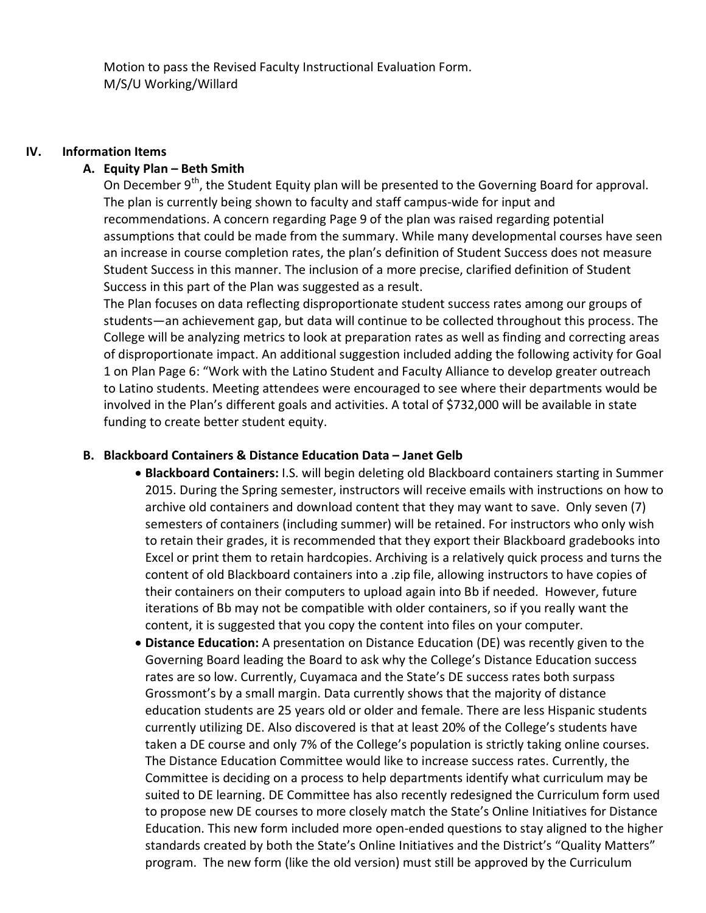# **IV. Information Items**

# **A. Equity Plan – Beth Smith**

On December 9<sup>th</sup>, the Student Equity plan will be presented to the Governing Board for approval. The plan is currently being shown to faculty and staff campus-wide for input and recommendations. A concern regarding Page 9 of the plan was raised regarding potential assumptions that could be made from the summary. While many developmental courses have seen an increase in course completion rates, the plan's definition of Student Success does not measure Student Success in this manner. The inclusion of a more precise, clarified definition of Student Success in this part of the Plan was suggested as a result.

The Plan focuses on data reflecting disproportionate student success rates among our groups of students—an achievement gap, but data will continue to be collected throughout this process. The College will be analyzing metrics to look at preparation rates as well as finding and correcting areas of disproportionate impact. An additional suggestion included adding the following activity for Goal 1 on Plan Page 6: "Work with the Latino Student and Faculty Alliance to develop greater outreach to Latino students. Meeting attendees were encouraged to see where their departments would be involved in the Plan's different goals and activities. A total of \$732,000 will be available in state funding to create better student equity.

## **B. Blackboard Containers & Distance Education Data – Janet Gelb**

- **Blackboard Containers:** I.S. will begin deleting old Blackboard containers starting in Summer 2015. During the Spring semester, instructors will receive emails with instructions on how to archive old containers and download content that they may want to save. Only seven (7) semesters of containers (including summer) will be retained. For instructors who only wish to retain their grades, it is recommended that they export their Blackboard gradebooks into Excel or print them to retain hardcopies. Archiving is a relatively quick process and turns the content of old Blackboard containers into a .zip file, allowing instructors to have copies of their containers on their computers to upload again into Bb if needed. However, future iterations of Bb may not be compatible with older containers, so if you really want the content, it is suggested that you copy the content into files on your computer.
- **Distance Education:** A presentation on Distance Education (DE) was recently given to the Governing Board leading the Board to ask why the College's Distance Education success rates are so low. Currently, Cuyamaca and the State's DE success rates both surpass Grossmont's by a small margin. Data currently shows that the majority of distance education students are 25 years old or older and female. There are less Hispanic students currently utilizing DE. Also discovered is that at least 20% of the College's students have taken a DE course and only 7% of the College's population is strictly taking online courses. The Distance Education Committee would like to increase success rates. Currently, the Committee is deciding on a process to help departments identify what curriculum may be suited to DE learning. DE Committee has also recently redesigned the Curriculum form used to propose new DE courses to more closely match the State's Online Initiatives for Distance Education. This new form included more open-ended questions to stay aligned to the higher standards created by both the State's Online Initiatives and the District's "Quality Matters" program. The new form (like the old version) must still be approved by the Curriculum